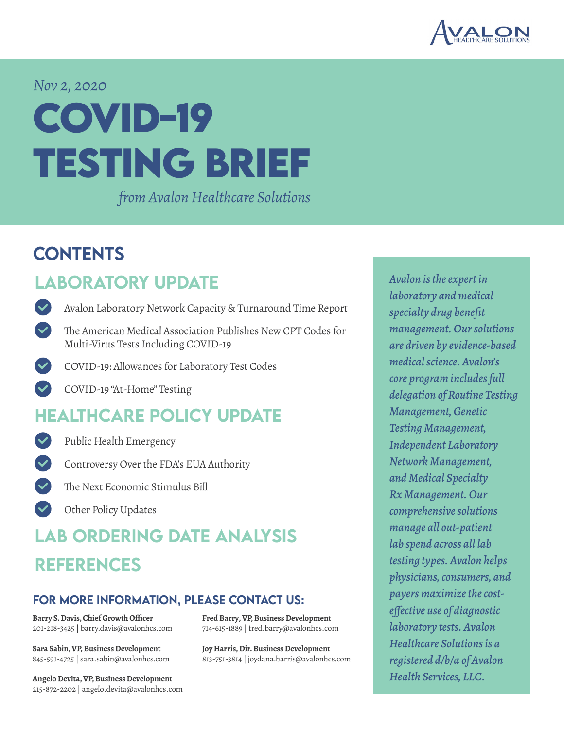

#### *Nov 2, 2020*

# **COVID-19 TESTING BRIEF**

*from Avalon Healthcare Solutions*

### **CONTENTS**

### LABORATORY UPDATE

- [Avalon Laboratory Network Capacity & Turnaround Time Report](#page-1-0)
- The American Medical [Association](#page-2-0) Publishes New CPT Codes for Multi-Virus Tests Including COVID-19
- COVID-19: [Allowances](#page-3-0) for Laboratory Test Codes
- COVID-19 ["At-Home"](#page-3-0) Testing

### [healthcare policy Update](#page-4-0)



Public Health [Emergency](#page-4-0)

- [Controversy](#page-5-0) Over the FDA's EUA Authority
	- The Next [Economic](#page-6-0) Stimulus Bill
- Other Policy [Updates](#page-7-0)

### [lab ordering date analysis](#page-8-0) **REFERENCES**

#### for more information, please contact us:

**Barry S. Davis, Chief Growth Officer** 201-218-3425 | barry.davis@avalonhcs.com

**Sara Sabin, VP,Business Development** 845-591-4725 | sara.sabin@avalonhcs.com

**Angelo Devita, VP,Business Development** 215-872-2202 | angelo.devita@avalonhcs.com Fred Barry, VP, Business Development 714-615-1889 | fred.barry@avalonhcs.com

Joy Harris, Dir. Business Development 813-751-3814 | joydana.harris@avalonhcs.com

*Avalon is the expert in laboratory and medical specialty drug benefit management. Our solutions are driven by evidence-based medical science. Avalon's core program includes full delegation of Routine Testing Management, Genetic Testing Management, Independent Laboratory Network Management, and Medical Specialty Rx Management. Our comprehensive solutions manage all out-patient lab spend across all lab testing types. Avalon helps physicians, consumers, and payers maximize the costeffective use of diagnostic laboratory tests. Avalon Healthcare Solutions is a registered d/b/a of Avalon Health Services, LLC.*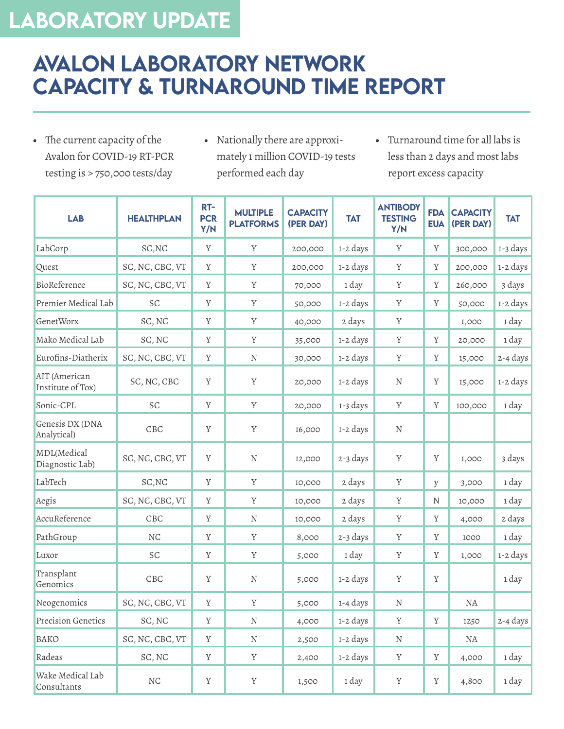# <span id="page-1-0"></span>Laboratory Update

### Avalon Laboratory Network Capacity & Turnaround Time Report

- • The current capacity of the Avalon for COVID-19 RT-PCR testing is > 750,000 tests/day
- • Nationally there are approximately 1 million COVID-19 tests performed each day
- • Turnaround time for all labs is less than 2 days and most labs report excess capacity

| <b>LAB</b>                         | <b>HEALTHPLAN</b> | $RT-$<br><b>PCR</b><br>Y/N | <b>MULTIPLE</b><br><b>PLATFORMS</b> | <b>CAPACITY</b><br>(PER DAY) | <b>TAT</b>           | <b>ANTIBODY</b><br><b>TESTING</b><br>Y/N | <b>FDA</b><br><b>EUA</b> | <b>CAPACITY</b><br>(PER DAY) | <b>TAT</b> |
|------------------------------------|-------------------|----------------------------|-------------------------------------|------------------------------|----------------------|------------------------------------------|--------------------------|------------------------------|------------|
| LabCorp                            | SC, NC            | $\mathbf Y$                | $\mathbf Y$                         | 200,000                      | 1-2 days             | $\mathbf Y$                              | $\mathbf Y$              | 300,000                      | 1-3 days   |
| Quest                              | SC, NC, CBC, VT   | $\mathbf Y$                | Y                                   | 200,000                      | 1-2 days             | $\mathbf Y$                              | Y                        | 200,000                      | 1-2 days   |
| BioReference                       | SC, NC, CBC, VT   | $\mathbf Y$                | $\mathbf Y$                         | 70,000                       | 1 day                | $\mathbf Y$                              | Y                        | 260,000                      | 3 days     |
| Premier Medical Lab                | SC                | $\mathbf Y$                | $\mathbf Y$                         | 50,000                       | 1-2 days             | $\mathbf Y$                              | $\mathbf Y$              | 50,000                       | 1-2 days   |
| GenetWorx                          | SC, NC            | Y                          | Y                                   | 40,000                       | 2 days               | Y                                        |                          | 1,000                        | 1 day      |
| Mako Medical Lab                   | SC, NC            | $\mathbf Y$                | Y                                   | 35,000                       | 1-2 days             | Y                                        | Y                        | 20,000                       | 1 day      |
| Eurofins-Diatherix                 | SC, NC, CBC, VT   | $\mathbf Y$                | $\mathbf N$                         | 30,000                       | 1-2 days             | $\mathbf Y$                              | $\mathbf Y$              | 15,000                       | 2-4 days   |
| AIT (American<br>Institute of Tox) | SC, NC, CBC       | Y                          | $\mathbf Y$                         | 20,000                       | 1-2 days             | N                                        | $\mathbf Y$              | 15,000                       | 1-2 days   |
| Sonic-CPL                          | SC                | Y                          | $\mathbf Y$                         | 20,000                       | 1-3 days             | $\mathbf Y$                              | $\mathbf Y$              | 100,000                      | 1 day      |
| Genesis DX (DNA<br>Analytical)     | CBC               | $\mathbf Y$                | $\mathbf Y$                         | 16,000                       | 1-2 days             | ${\bf N}$                                |                          |                              |            |
| MDL(Medical<br>Diagnostic Lab)     | SC, NC, CBC, VT   | Y                          | ${\bf N}$                           | 12,000                       | 2-3 days             | Y                                        | Y                        | 1,000                        | 3 days     |
| LabTech                            | SC, NC            | $\mathbf Y$                | $\mathbf Y$                         | 10,000                       | 2 days               | $\mathbf Y$                              | y                        | 3,000                        | 1 day      |
| Aegis                              | SC, NC, CBC, VT   | $\mathbf Y$                | $\mathbf Y$                         | 10,000                       | 2 days               | $\mathbf Y$                              | N                        | 10,000                       | 1 day      |
| AccuReference                      | CBC               | $\mathbf Y$                | N                                   | 10,000                       | 2 days               | Y                                        | Y                        | 4,000                        | 2 days     |
| PathGroup                          | <b>NC</b>         | $\mathbf Y$                | Y                                   | 8,000                        | 2-3 days             | Y                                        | Y                        | 1000                         | 1 day      |
| Luxor                              | $\cal{SC}$        | $\mathbf Y$                | $\mathbf Y$                         | 5,000                        | 1 day                | $\mathbf Y$                              | Y                        | 1,000                        | 1-2 days   |
| Transplant<br>Genomics             | CBC               | $\mathbf Y$                | ${\bf N}$                           | 5,000                        | 1-2 days             | $\mathbf Y$                              | $\mathbf Y$              |                              | 1 day      |
| Neogenomics                        | SC, NC, CBC, VT   | $\mathbf Y$                | $\rm Y$                             | 5,000                        | $_{1\text{-}4}$ days | $\rm N$                                  |                          | $\rm NA$                     |            |
| Precision Genetics                 | SC, NC            | Y                          | $\mathbf N$                         | 4,000                        | 1-2 days             | $\mathbf Y$                              | Y                        | 1250                         | 2-4 days   |
| <b>BAKO</b>                        | SC, NC, CBC, VT   | Y                          | $\rm N$                             | 2,500                        | 1-2 days             | $\mathbf N$                              |                          | $\rm NA$                     |            |
| Radeas                             | SC, NC            | Y                          | $\mathbf Y$                         | 2,400                        | 1-2 days             | $\mathbf Y$                              | $\mathbf Y$              | 4,000                        | 1 day      |
| Wake Medical Lab<br>Consultants    | $\rm NC$          | $\mathbf Y$                | $\mathbf Y$                         | 1,500                        | 1 day                | $\mathbf Y$                              | $\mathbf Y$              | 4,800                        | 1 day      |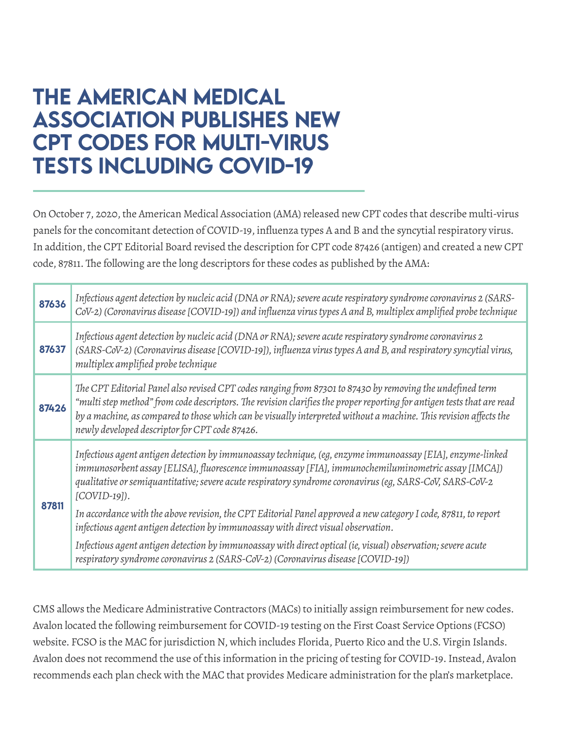### <span id="page-2-0"></span>The American Medical Association Publishes New CPT Codes for Multi-Virus Tests Including COVID-19

On October 7, 2020, the American Medical Association (AMA) released new CPT codes that describe multi-virus panels for the concomitant detection of COVID-19, influenza types A and B and the syncytial respiratory virus. In addition, the CPT Editorial Board revised the description for CPT code 87426 (antigen) and created a new CPT code, 87811. The following are the long descriptors for these codes as published by the AMA:

| 87636 | Infectious agent detection by nucleic acid (DNA or RNA); severe acute respiratory syndrome coronavirus 2 (SARS-<br>CoV-2) (Coronavirus disease [COVID-19]) and influenza virus types A and B, multiplex amplified probe technique                                                                                                                                                                          |  |  |  |  |  |  |
|-------|------------------------------------------------------------------------------------------------------------------------------------------------------------------------------------------------------------------------------------------------------------------------------------------------------------------------------------------------------------------------------------------------------------|--|--|--|--|--|--|
| 87637 | Infectious agent detection by nucleic acid (DNA or RNA); severe acute respiratory syndrome coronavirus 2<br>(SARS-CoV-2) (Coronavirus disease [COVID-19]), influenza virus types A and B, and respiratory syncytial virus,<br>multiplex amplified probe technique                                                                                                                                          |  |  |  |  |  |  |
| 87426 | The CPT Editorial Panel also revised CPT codes ranging from 87301 to 87430 by removing the undefined term<br>"multi step method" from code descriptors. The revision clarifies the proper reporting for antigen tests that are read<br>by a machine, as compared to those which can be visually interpreted without a machine. This revision affects the<br>newly developed descriptor for CPT code 87426. |  |  |  |  |  |  |
| 87811 | Infectious agent antigen detection by immunoassay technique, (eg, enzyme immunoassay [EIA], enzyme-linked<br>immunosorbent assay [ELISA], fluorescence immunoassay [FIA], immunochemiluminometric assay [IMCA])<br>qualitative or semiquantitative; severe acute respiratory syndrome coronavirus (eg, SARS-CoV, SARS-CoV-2<br>$[COVID-19]$ ).                                                             |  |  |  |  |  |  |
|       | In accordance with the above revision, the CPT Editorial Panel approved a new category I code, 87811, to report<br>infectious agent antigen detection by immunoassay with direct visual observation.                                                                                                                                                                                                       |  |  |  |  |  |  |
|       | Infectious agent antigen detection by immunoassay with direct optical (ie, visual) observation; severe acute<br>respiratory syndrome coronavirus 2 (SARS-CoV-2) (Coronavirus disease [COVID-19])                                                                                                                                                                                                           |  |  |  |  |  |  |

CMS allows the Medicare Administrative Contractors (MACs) to initially assign reimbursement for new codes. Avalon located the following reimbursement for COVID-19 testing on the First Coast Service Options (FCSO) website. FCSO is the MAC for jurisdiction N, which includes Florida, Puerto Rico and the U.S. Virgin Islands. Avalon does not recommend the use of this information in the pricing of testing for COVID-19. Instead, Avalon recommends each plan check with the MAC that provides Medicare administration forthe plan's marketplace.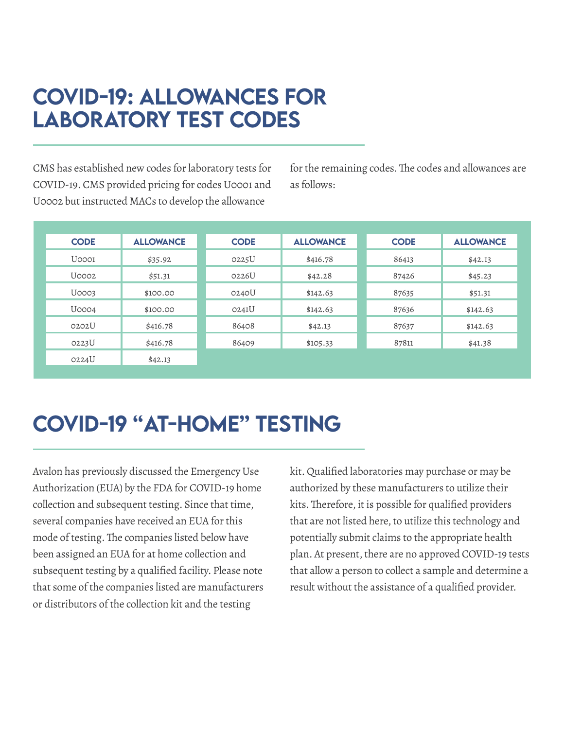### <span id="page-3-0"></span>COVID-19: Allowances for Laboratory Test Codes

CMS has established new codes for laboratory tests for COVID-19. CMS provided pricing for codes U0001 and U0002 but instructed MACs to develop the allowance

for the remaining codes. The codes and allowances are as follows:

| <b>CODE</b> | <b>ALLOWANCE</b> | <b>CODE</b> | <b>ALLOWANCE</b> | <b>CODE</b> | <b>ALLOWANCE</b> |
|-------------|------------------|-------------|------------------|-------------|------------------|
| U0001       | \$35.92          | 0225U       | \$416.78         | 86413       | \$42.13          |
| $U$ 0002    | \$51.31          | 0226U       | \$42.28          | 87426       | \$45.23          |
| U0003       | \$100.00         | 0240U       | \$142.63         | 87635       | \$51.31          |
| U0004       | \$100.00         | 0241U       | \$142.63         | 87636       | \$142.63         |
| O2O2U       | \$416.78         | 86408       | \$42.13          | 87637       | \$142.63         |
| 0223U       | \$416.78         | 86409       | \$105.33         | 87811       | \$41.38          |
| 0224U       | \$42.13          |             |                  |             |                  |

## COVID-19 "At-Home" Testing

Avalon has previously discussed the Emergency Use Authorization (EUA) by the FDA for COVID-19 home collection and subsequent testing. Since that time, several companies have received an EUA for this mode of testing.The companies listed below have been assigned an EUA for at home collection and subsequent testing by a qualified facility. Please note that some of the companies listed are manufacturers or distributors of the collection kit and the testing

kit.Qualified laboratories may purchase or may be authorized by these manufacturers to utilize their kits.Therefore, it is possible for qualified providers that are not listed here, to utilize this technology and potentially submit claims to the appropriate health plan. At present, there are no approved COVID-19 tests that allow a person to collect a sample and determine a result without the assistance of a qualified provider.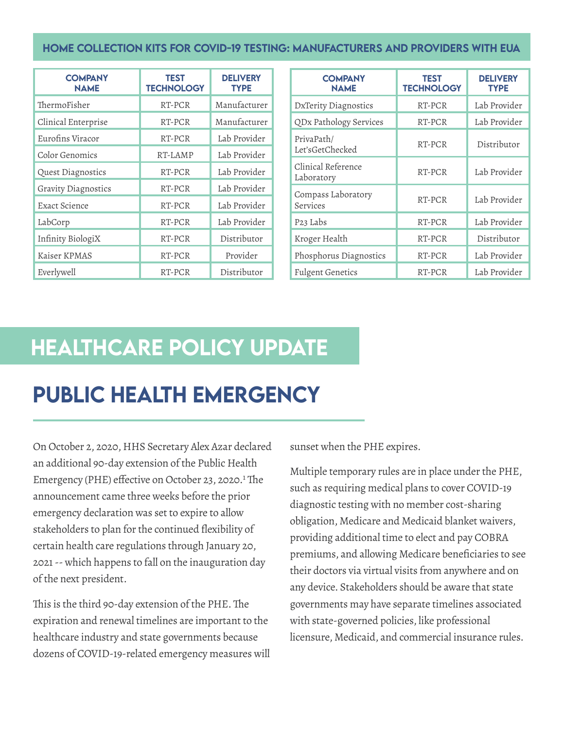#### <span id="page-4-0"></span>HOME COLLECTION KITS FOR COVID-19 TESTING: MANUFACTURERS AND PROVIDERS WITH EUA

| <b>COMPANY</b><br><b>NAME</b> | <b>TEST</b><br><b>TECHNOLOGY</b> | <b>DELIVERY</b><br><b>TYPE</b> |                                | <b>COMPANY</b><br><b>NAME</b>    | <b>TEST</b><br><b>TECHNOLOGY</b> | <b>DELIVERY</b><br><b>TYPE</b> |
|-------------------------------|----------------------------------|--------------------------------|--------------------------------|----------------------------------|----------------------------------|--------------------------------|
| ThermoFisher                  | RT-PCR                           | Manufacturer                   |                                | DxTerity Diagnostics             | RT-PCR                           | Lab Provider                   |
| Clinical Enterprise           | RT-PCR                           | Manufacturer                   |                                | QDx Pathology Services           | RT-PCR                           | Lab Provider                   |
| Eurofins Viracor              | RT-PCR                           | Lab Provider                   |                                | PrivaPath/                       | RT-PCR                           | Distributor                    |
| Color Genomics                | RT-LAMP                          | Lab Provider                   | Let'sGetChecked                |                                  |                                  |                                |
| Quest Diagnostics             | RT-PCR                           | Lab Provider                   |                                | Clinical Reference<br>Laboratory | RT-PCR                           | Lab Provider                   |
| Gravity Diagnostics           | RT-PCR                           | Lab Provider                   | Compass Laboratory<br>Services |                                  | RT-PCR                           | Lab Provider                   |
| Exact Science                 | RT-PCR                           | Lab Provider                   |                                |                                  |                                  |                                |
| LabCorp                       | RT-PCR                           | Lab Provider                   |                                | P <sub>23</sub> Labs             | RT-PCR                           | Lab Provider                   |
| Infinity BiologiX             | RT-PCR                           | Distributor                    |                                | Kroger Health                    | RT-PCR                           | Distributor                    |
| Kaiser KPMAS                  | RT-PCR                           | Provider                       |                                | Phosphorus Diagnostics           | RT-PCR                           | Lab Provider                   |
| Everlywell                    | RT-PCR                           | Distributor                    |                                | <b>Fulgent Genetics</b>          | RT-PCR                           | Lab Provider                   |

### healthcare policy Update

### Public Health Emergency

On October 2, 2020, HHS Secretary Alex Azar declared an additional 90-day extension of the Public Health Emergency (PHE) effective on October 23, 2020.<sup>1</sup> The announcement came three weeks before the prior emergency declaration was set to expire to allow stakeholders to plan for the continued flexibility of certain health care regulations through January 20, 2021-- which happens to fall on the inauguration day of the next president.

This is the third 90-day extension of the PHE.The expiration and renewal timelines are important to the healthcare industry and state governments because dozens of COVID-19-related emergency measures will sunset when the PHE expires.

Multiple temporary rules are in place under the PHE, such as requiring medical plans to cover COVID-19 diagnostic testing with no member cost-sharing obligation, Medicare and Medicaid blanket waivers, providing additional time to elect and pay COBRA premiums, and allowing Medicare beneficiaries to see their doctors via virtual visits from anywhere and on any device. Stakeholders should be aware that state governments may have separate timelines associated with state-governed policies, like professional licensure, Medicaid, and commercial insurance rules.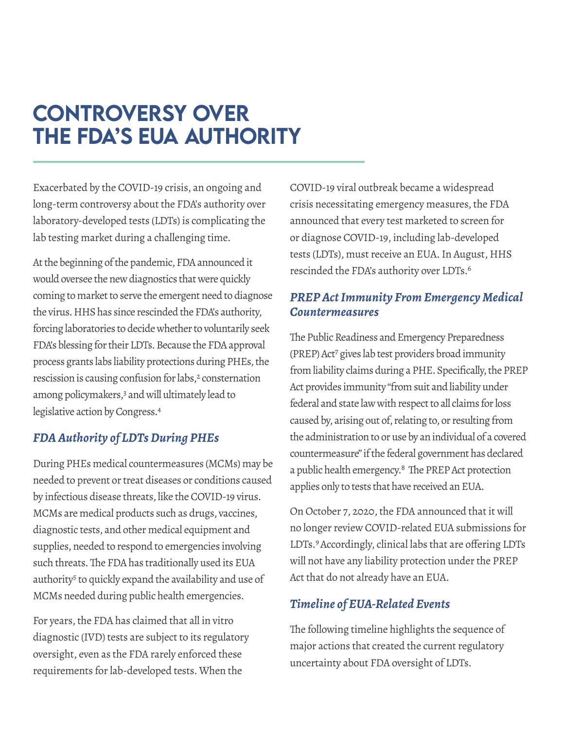### <span id="page-5-0"></span>**CONTROVERSY OVER** the FDA's EUA Authority

Exacerbated by the COVID-19 crisis, an ongoing and long-term controversy about the FDA's authority over laboratory-developed tests (LDTs) is complicating the lab testing market during a challenging time.

At the beginning of the pandemic, FDA announced it would oversee the new diagnostics that were quickly coming to market to serve the emergent need to diagnose the virus. HHS has since rescinded the FDA's authority, forcing laboratories to decide whether to voluntarily seek FDA's blessing for their LDTs. Because the FDA approval process grants labs liability protections during PHEs, the rescission is causing confusion for labs,<sup>2</sup> consternation among policymakers,<sup>3</sup> and will ultimately lead to legislative action by Congress.<sup>4</sup>

#### *FDA Authority of LDTs During PHEs*

During PHEs medical countermeasures (MCMs) may be needed to prevent or treat diseases or conditions caused by infectious disease threats, like the COVID-19 virus. MCMs are medical products such as drugs, vaccines, diagnostic tests, and other medical equipment and supplies, needed to respond to emergencies involving such threats.The FDA has traditionally used its EUA authority<sup>5</sup> to quickly expand the availability and use of MCMs needed during public health emergencies.

For years, the FDA has claimed that all in vitro diagnostic (IVD) tests are subject to its regulatory oversight, even as the FDA rarely enforced these requirements for lab-developed tests. When the

COVID-19 viral outbreak became a widespread crisis necessitating emergency measures, the FDA announced that every test marketed to screen for or diagnose COVID-19, including lab-developed tests (LDTs), must receive an EUA. In August, HHS rescinded the FDA's authority over LDTs.6

#### *PREP Act Immunity From Emergency Medical Countermeasures*

The Public Readiness and Emergency Preparedness (PREP)Act7 gives lab test providers broad immunity from liability claims during a PHE. Specifically, the PREP Act provides immunity "fromsuit and liability under federal and state law with respect to all claims for loss caused by, arising out of, relating to, or resulting from the administration to or use by an individual of a covered countermeasure" if the federal government has declared a public health emergency.<sup>8</sup> The PREP Act protection applies only to tests that have received an EUA.

On October 7, 2020, the FDA announced that it will no longer review COVID-related EUA submissions for LDTs.<sup>9</sup> Accordingly, clinical labs that are offering LDTs will not have any liability protection under the PREP Act that do not already have an EUA.

#### *Timeline of EUA-Related Events*

The following timeline highlights the sequence of major actions that created the current regulatory uncertainty about FDA oversight of LDTs.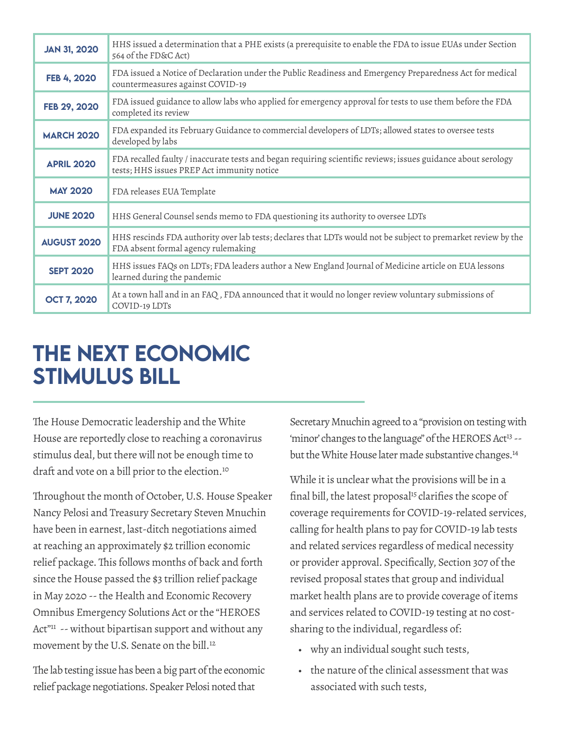<span id="page-6-0"></span>

| <b>JAN 31, 2020</b> | HHS issued a determination that a PHE exists (a prerequisite to enable the FDA to issue EUAs under Section<br>564 of the FD&C Act)                          |  |  |  |  |  |
|---------------------|-------------------------------------------------------------------------------------------------------------------------------------------------------------|--|--|--|--|--|
| FEB 4, 2020         | FDA issued a Notice of Declaration under the Public Readiness and Emergency Preparedness Act for medical<br>countermeasures against COVID-19                |  |  |  |  |  |
| FEB 29, 2020        | FDA issued guidance to allow labs who applied for emergency approval for tests to use them before the FDA<br>completed its review                           |  |  |  |  |  |
| <b>MARCH 2020</b>   | FDA expanded its February Guidance to commercial developers of LDTs; allowed states to oversee tests<br>developed by labs                                   |  |  |  |  |  |
| <b>APRIL 2020</b>   | FDA recalled faulty / inaccurate tests and began requiring scientific reviews; issues guidance about serology<br>tests; HHS issues PREP Act immunity notice |  |  |  |  |  |
| <b>MAY 2020</b>     | FDA releases EUA Template                                                                                                                                   |  |  |  |  |  |
| <b>JUNE 2020</b>    | HHS General Counsel sends memo to FDA questioning its authority to oversee LDTs                                                                             |  |  |  |  |  |
| <b>AUGUST 2020</b>  | HHS rescinds FDA authority over lab tests; declares that LDTs would not be subject to premarket review by the<br>FDA absent formal agency rulemaking        |  |  |  |  |  |
| <b>SEPT 2020</b>    | HHS issues FAQs on LDTs; FDA leaders author a New England Journal of Medicine article on EUA lessons<br>learned during the pandemic                         |  |  |  |  |  |
| <b>OCT 7, 2020</b>  | At a town hall and in an FAQ, FDA announced that it would no longer review voluntary submissions of<br>COVID-19 LDTs                                        |  |  |  |  |  |

### The Next Economic Stimulus Bill

The House Democratic leadership and the White House are reportedly close to reaching a coronavirus stimulus deal, but there will not be enough time to draft and vote on a bill prior to the election.<sup>10</sup>

Throughout the month of October, U.S. House Speaker Nancy Pelosi and Treasury Secretary Steven Mnuchin have been in earnest, last-ditch negotiations aimed at reaching an approximately \$2 trillion economic relief package.This follows months of back and forth since the House passed the \$3 trillion relief package in May 2020 -- the Health and Economic Recovery Omnibus Emergency Solutions Act or the "HEROES Act"<sup>11</sup> -- without bipartisan support and without any movement by the U.S. Senate on the bill.<sup>12</sup>

The lab testing issue has been a big part of the economic relief package negotiations.Speaker Pelosi noted that

Secretary Mnuchin agreed to a "provision on testing with 'minor' changes to the language" of the HEROES Act<sup>13</sup> -but the White House later made substantive changes.<sup>14</sup>

While it is unclear what the provisions will be in a final bill, the latest proposal<sup>15</sup> clarifies the scope of coverage requirements for COVID-19-related services, calling for health plans to pay for COVID-19 lab tests and related services regardless of medical necessity or provider approval. Specifically, Section 307 of the revised proposal states that group and individual market health plans are to provide coverage of items and services related to COVID-19 testing at no costsharing to the individual, regardless of:

- • why an individual sought such tests,
- • the nature of the clinical assessment that was associated with such tests,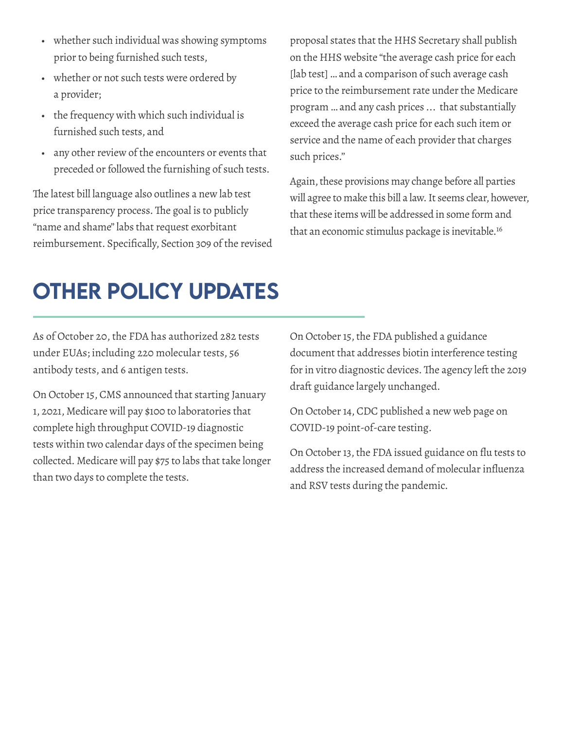- <span id="page-7-0"></span>• whether such individual was showing symptoms prior to being furnished such tests,
- whether or not such tests were ordered by a provider;
- the frequency with which such individual is furnished such tests, and
- any other review of the encounters or events that preceded or followed the furnishing of such tests.

The latest bill language also outlines a new lab test price transparency process.The goal is to publicly "name and shame" labs that request exorbitant reimbursement. Specifically, Section 309 of the revised proposal states that the HHS Secretary shall publish on the HHS website "the average cash price for each [lab test] ... and a comparison of such average cash price to the reimbursement rate under the Medicare program …and any cash prices ... that substantially exceed the average cash price for each such item or service and the name of each provider that charges such prices.''

Again, these provisions may change before all parties will agree to make this bill a law. It seems clear, however, that these items will be addressed in some form and that an economic stimulus package is inevitable.16

### Other Policy Updates

As of October 20, the FDA has authorized 282 tests under EUAs; including 220 molecular tests, 56 antibody tests, and 6 antigen tests.

On October 15, CMS announced that starting January 1, 2021, Medicare will pay \$100 to laboratories that complete high throughput COVID-19 diagnostic tests within two calendar days of the specimen being collected. Medicare will pay \$75 to labs that take longer than two days to complete the tests.

On October 15, the FDA published a guidance document that addresses biotin interference testing for in vitro diagnostic devices. The agency left the 2019 draft guidance largely unchanged.

On October 14, CDC published a new web page on COVID-19 point-of-care testing.

On October 13, the FDA issued guidance on flu tests to address the increased demand of molecular influenza and RSV tests during the pandemic.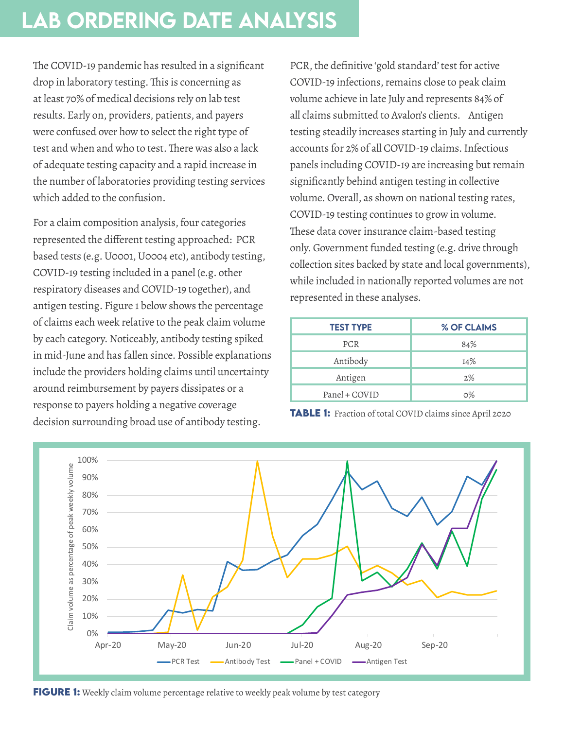### <span id="page-8-0"></span>lab ordering date analysis

The COVID-19 pandemic has resulted in a significant drop in laboratory testing. This is concerning as at least 70% of medical decisions rely on lab test results. Early on, providers, patients, and payers were confused over how to select the right type of test and when and who to test.There was also a lack of adequate testing capacity and a rapid increase in the number of laboratories providing testing services which added to the confusion.

For a claim composition analysis, four categories represented the different testing approached: PCR based tests (e.g.U0001,U0004 etc), antibody testing, COVID-19 testing included in a panel (e.g. other respiratory diseases and COVID-19 together), and antigen testing. Figure 1 below shows the percentage of claims each week relative to the peak claim volume by each category. Noticeably, antibody testing spiked in mid-June and has fallen since. Possible explanations include the providers holding claims until uncertainty around reimbursement by payers dissipates or a response to payers holding a negative coverage decision surrounding broad use of antibody testing.

PCR, the definitive 'gold standard' test for active COVID-19 infections, remains close to peak claim volume achieve in late July and represents 84% of all claims submitted to Avalon's clients. Antigen testing steadily increases starting in July and currently accounts for 2% of all COVID-19 claims.Infectious panels including COVID-19 are increasing but remain significantly behind antigen testing in collective volume.Overall, as shown on national testing rates, COVID-19 testing continues to grow in volume. These data cover insurance claim-based testing only.Government funded testing (e.g. drive through collection sites backed by state and local governments), while included in nationally reported volumes are not represented in these analyses.

| <b>TEST TYPE</b> | % OF CLAIMS |  |  |
|------------------|-------------|--|--|
| <b>PCR</b>       | 84%         |  |  |
| Antibody         | 14%         |  |  |
| Antigen          | 2%          |  |  |
| Panel + COVID    | 0%          |  |  |





**FIGURE 1:** Weekly claim volume percentage relative to weekly peak volume by test category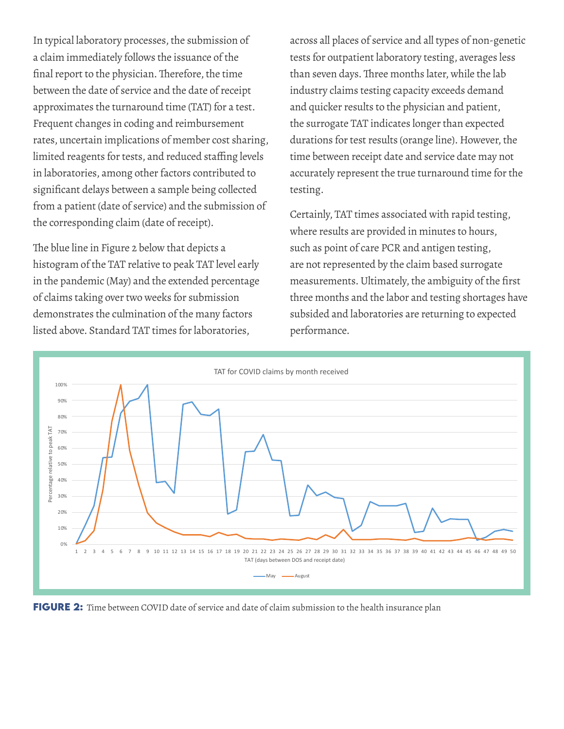In typical laboratory processes, the submission of a claim immediately follows the issuance of the final report to the physician. Therefore, the time between the date of service and the date of receipt approximates the turnaround time (TAT) for a test. Frequent changes in coding and reimbursement rates, uncertain implications of member cost sharing, limited reagents for tests, and reduced staffing levels in laboratories, among other factors contributed to significant delays between a sample being collected from a patient (date of service) and the submission of the corresponding claim (date of receipt).

The blue line in Figure 2 below that depicts a histogram of the TAT relative to peak TAT level early in the pandemic (May) and the extended percentage of claims taking over two weeks for submission demonstrates the culmination of the many factors listed above. Standard TAT times for laboratories,

across all places of service and all types of non-genetic tests for outpatient laboratory testing, averages less than seven days. Three months later, while the lab industry claims testing capacity exceeds demand and quicker results to the physician and patient, the surrogate TAT indicates longer than expected durations for test results (orange line). However, the time between receipt date and service date may not accurately represent the true turnaround time for the testing.

Certainly, TAT times associated with rapid testing, where results are provided in minutes to hours, such as point of care PCR and antigen testing, are not represented by the claim based surrogate measurements. Ultimately, the ambiguity of the first three months and the labor and testing shortages have subsided and laboratories are returning to expected performance.



FIGURE 2: Time between COVID date of service and date of claim submission to the health insurance plan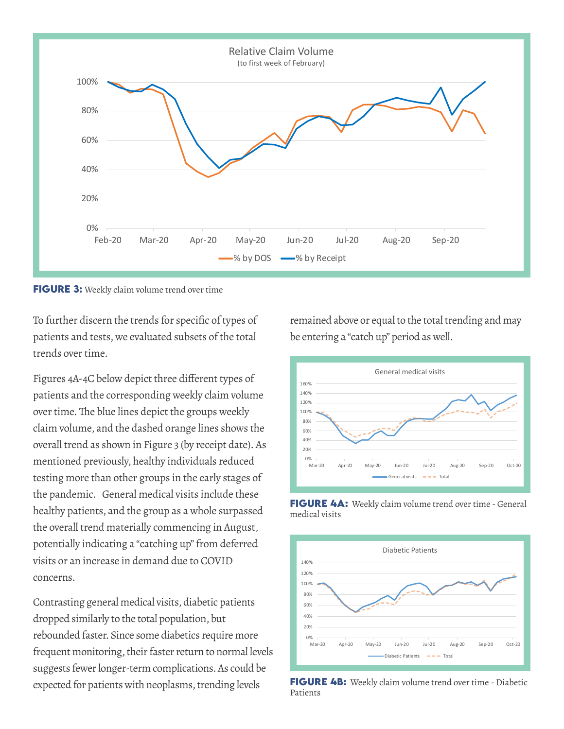

**FIGURE 3:** Weekly claim volume trend over time

To further discern the trends for specific of types of patients and tests, we evaluated subsets of the total trends over time.

Figures 4A-4C below depict three different types of patients and the corresponding weekly claim volume over time. The blue lines depict the groups weekly claim volume, and the dashed orange lines shows the overall trend as shown in Figure 3 (by receipt date). As mentioned previously, healthy individuals reduced testing more than other groups in the early stages of the pandemic. General medical visits include these healthy patients, and the group as a whole surpassed the overall trend materially commencing in August, potentially indicating a "catching up" from deferred visits or an increase in demand due to COVID concerns.

Contrasting general medical visits, diabetic patients dropped similarly to the total population, but rebounded faster. Since some diabetics require more frequent monitoring, their faster return to normal levels suggests fewer longer-term complications. As could be expected for patients with neoplasms, trending levels

remained above or equal to the total trending and may be entering a "catch up" period as well.







**FIGURE 4B:** Weekly claim volume trend over time - Diabetic Patients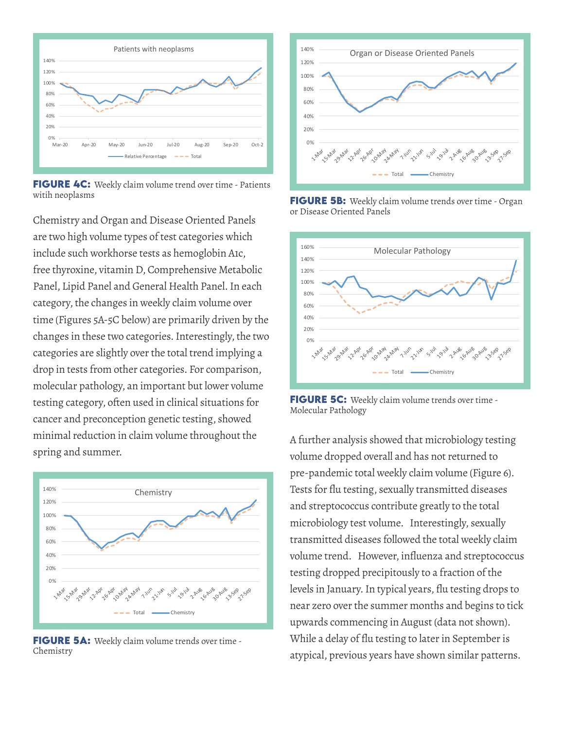

**FIGURE 4C:** Weekly claim volume trend over time - Patients witih neoplasms

Chemistry and Organ and Disease Oriented Panels are two high volume types of test categories which include such workhorse tests as hemoglobin A1c, free thyroxine, vitamin D, Comprehensive Metabolic Panel, Lipid Panel and General Health Panel.In each category, the changes in weekly claim volume over time (Figures 5A-5C below) are primarily driven by the changes in these two categories. Interestingly, the two categories are slightly over the total trend implying a drop in tests from other categories. For comparison, molecular pathology, an important but lower volume testing category, often used in clinical situations for cancer and preconception genetic testing, showed minimal reduction in claim volume throughout the spring and summer.



**FIGURE 5A:** Weekly claim volume trends over time -Chemistry



**FIGURE 5B:** Weekly claim volume trends over time - Organ or Disease Oriented Panels



**FIGURE 5C:** Weekly claim volume trends over time -Molecular Pathology

A further analysis showed that microbiology testing volume dropped overall and has not returned to pre-pandemic total weekly claim volume (Figure 6). Tests for flu testing, sexually transmitted diseases and streptococcus contribute greatly to the total microbiology test volume. Interestingly, sexually transmitted diseases followed the total weekly claim volume trend. However, influenza and streptococcus testing dropped precipitously to a fraction of the levels in January. In typical years, flu testing drops to near zero over the summer months and begins to tick upwards commencing in August (data not shown). While a delay of flu testing to later in September is atypical, previous years have shown similar patterns.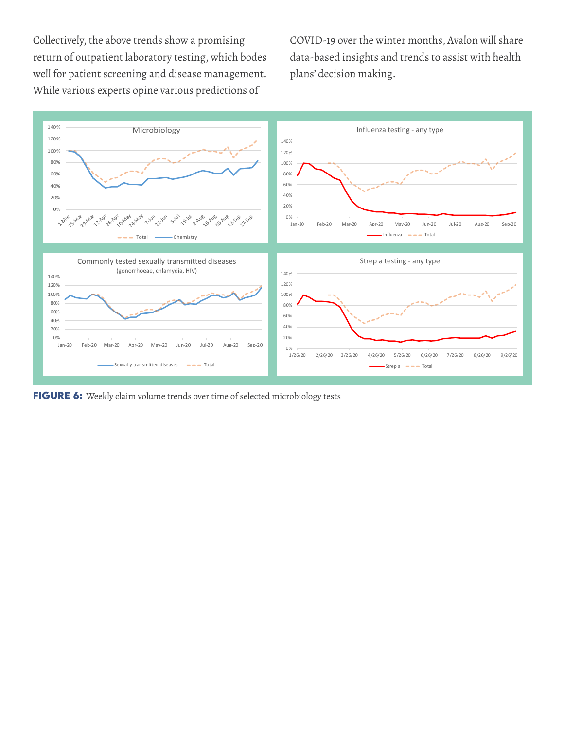Collectively, the above trends show a promising return of outpatient laboratory testing, which bodes well for patient screening and disease management. While various experts opine various predictions of

COVID-19 over the winter months, Avalon will share data-based insights and trends to assist with health plans' decision making.



FIGURE 6: Weekly claim volume trends over time of selected microbiology tests